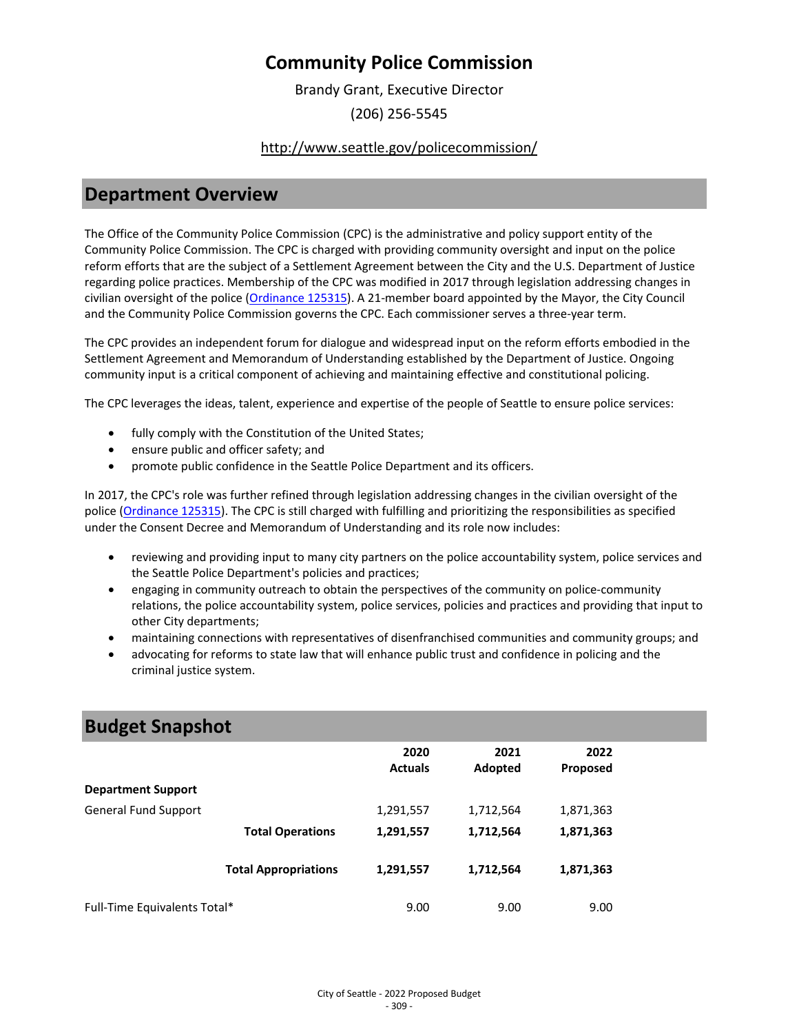Brandy Grant, Executive Director (206) 256-5545

### <http://www.seattle.gov/policecommission/>

### **Department Overview**

The Office of the Community Police Commission (CPC) is the administrative and policy support entity of the Community Police Commission. The CPC is charged with providing community oversight and input on the police reform efforts that are the subject of a Settlement Agreement between the City and the U.S. Department of Justice regarding police practices. Membership of the CPC was modified in 2017 through legislation addressing changes in civilian oversight of the police [\(Ordinance 125315\)](https://seattle.legistar.com/LegislationDetail.aspx?ID=3041612&GUID=189886AB-6C46-438A-AB56-DA45AE4FCD7B&Options=ID|Text|&Search=125315). A 21-member board appointed by the Mayor, the City Council and the Community Police Commission governs the CPC. Each commissioner serves a three-year term.

The CPC provides an independent forum for dialogue and widespread input on the reform efforts embodied in the Settlement Agreement and Memorandum of Understanding established by the Department of Justice. Ongoing community input is a critical component of achieving and maintaining effective and constitutional policing.

The CPC leverages the ideas, talent, experience and expertise of the people of Seattle to ensure police services:

- fully comply with the Constitution of the United States;
- ensure public and officer safety; and
- promote public confidence in the Seattle Police Department and its officers.

In 2017, the CPC's role was further refined through legislation addressing changes in the civilian oversight of the police [\(Ordinance 125315\)](https://seattle.legistar.com/LegislationDetail.aspx?ID=3041612&GUID=189886AB-6C46-438A-AB56-DA45AE4FCD7B&Options=ID|Text|&Search=125315). The CPC is still charged with fulfilling and prioritizing the responsibilities as specified under the Consent Decree and Memorandum of Understanding and its role now includes:

- reviewing and providing input to many city partners on the police accountability system, police services and the Seattle Police Department's policies and practices;
- engaging in community outreach to obtain the perspectives of the community on police-community relations, the police accountability system, police services, policies and practices and providing that input to other City departments;
- maintaining connections with representatives of disenfranchised communities and community groups; and
- advocating for reforms to state law that will enhance public trust and confidence in policing and the criminal justice system.

| <b>Budget Snapshot</b>       |                             |                |           |           |  |
|------------------------------|-----------------------------|----------------|-----------|-----------|--|
|                              |                             | 2020           | 2021      | 2022      |  |
|                              |                             | <b>Actuals</b> | Adopted   | Proposed  |  |
| <b>Department Support</b>    |                             |                |           |           |  |
| <b>General Fund Support</b>  |                             | 1,291,557      | 1,712,564 | 1,871,363 |  |
|                              | <b>Total Operations</b>     | 1,291,557      | 1,712,564 | 1,871,363 |  |
|                              | <b>Total Appropriations</b> | 1,291,557      | 1,712,564 | 1,871,363 |  |
| Full-Time Equivalents Total* |                             | 9.00           | 9.00      | 9.00      |  |

## **Budget Snapshot**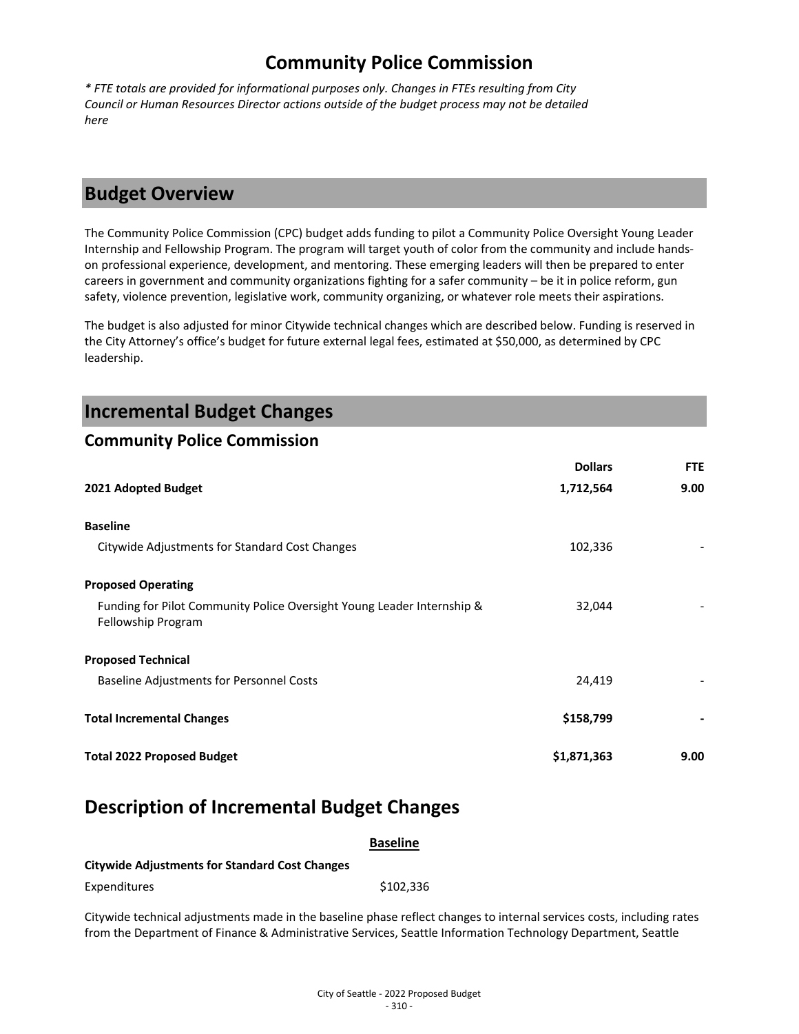*\* FTE totals are provided for informational purposes only. Changes in FTEs resulting from City Council or Human Resources Director actions outside of the budget process may not be detailed here*

### **Budget Overview**

The Community Police Commission (CPC) budget adds funding to pilot a Community Police Oversight Young Leader Internship and Fellowship Program. The program will target youth of color from the community and include handson professional experience, development, and mentoring. These emerging leaders will then be prepared to enter careers in government and community organizations fighting for a safer community – be it in police reform, gun safety, violence prevention, legislative work, community organizing, or whatever role meets their aspirations.

The budget is also adjusted for minor Citywide technical changes which are described below. Funding is reserved in the City Attorney's office's budget for future external legal fees, estimated at \$50,000, as determined by CPC leadership.

| <b>Incremental Budget Changes</b>                                                            |                |            |
|----------------------------------------------------------------------------------------------|----------------|------------|
| <b>Community Police Commission</b>                                                           |                |            |
|                                                                                              | <b>Dollars</b> | <b>FTE</b> |
| 2021 Adopted Budget                                                                          | 1,712,564      | 9.00       |
| <b>Baseline</b>                                                                              |                |            |
| Citywide Adjustments for Standard Cost Changes                                               | 102,336        |            |
| <b>Proposed Operating</b>                                                                    |                |            |
| Funding for Pilot Community Police Oversight Young Leader Internship &<br>Fellowship Program | 32,044         |            |
| <b>Proposed Technical</b>                                                                    |                |            |
| <b>Baseline Adjustments for Personnel Costs</b>                                              | 24,419         |            |
| <b>Total Incremental Changes</b>                                                             | \$158,799      |            |
| <b>Total 2022 Proposed Budget</b>                                                            | \$1,871,363    | 9.00       |

# **Description of Incremental Budget Changes**

|                                                       | <b>Baseline</b>                                                                                                      |
|-------------------------------------------------------|----------------------------------------------------------------------------------------------------------------------|
| <b>Citywide Adjustments for Standard Cost Changes</b> |                                                                                                                      |
| Expenditures                                          | \$102.336                                                                                                            |
|                                                       | Citywide technical adjustments made in the baseline phase reflect changes to internal services costs, including rate |

its made in the baseline phase reflect changes to internal services costs, including rates from the Department of Finance & Administrative Services, Seattle Information Technology Department, Seattle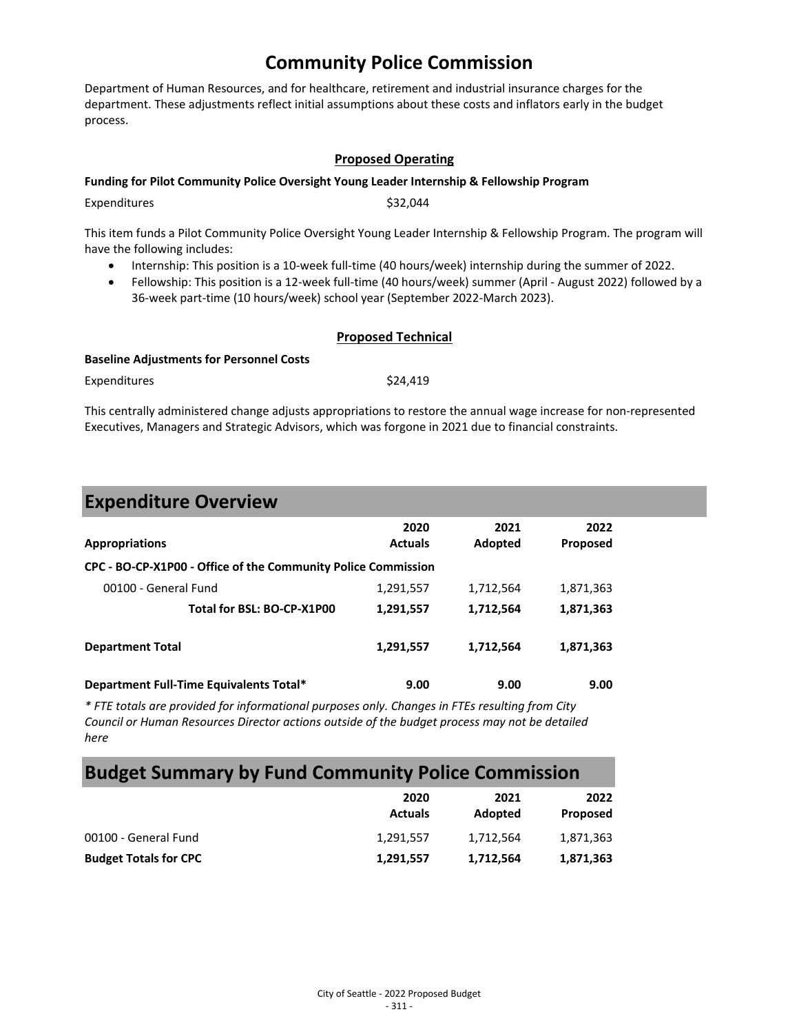Department of Human Resources, and for healthcare, retirement and industrial insurance charges for the department. These adjustments reflect initial assumptions about these costs and inflators early in the budget process.

### **Proposed Operating**

#### **Funding for Pilot Community Police Oversight Young Leader Internship & Fellowship Program**

Expenditures \$32,044

This item funds a Pilot Community Police Oversight Young Leader Internship & Fellowship Program. The program will

- have the following includes:
	- Internship: This position is a 10-week full-time (40 hours/week) internship during the summer of 2022.
	- Fellowship: This position is a 12-week full-time (40 hours/week) summer (April August 2022) followed by a 36-week part-time (10 hours/week) school year (September 2022-March 2023).

### **Proposed Technical**

#### **Baseline Adjustments for Personnel Costs**

Expenditures \$24,419

This centrally administered change adjusts appropriations to restore the annual wage increase for non-represented Executives, Managers and Strategic Advisors, which was forgone in 2021 due to financial constraints.

### **Expenditure Overview**

| <b>Appropriations</b>                                         | 2020<br><b>Actuals</b> | 2021<br>Adopted | 2022<br><b>Proposed</b> |  |
|---------------------------------------------------------------|------------------------|-----------------|-------------------------|--|
| CPC - BO-CP-X1P00 - Office of the Community Police Commission |                        |                 |                         |  |
| 00100 - General Fund                                          | 1,291,557              | 1,712,564       | 1,871,363               |  |
| Total for BSL: BO-CP-X1P00                                    | 1,291,557              | 1,712,564       | 1,871,363               |  |
| <b>Department Total</b>                                       | 1,291,557              | 1,712,564       | 1,871,363               |  |
| Department Full-Time Equivalents Total*                       | 9.00                   | 9.00            | 9.00                    |  |

*\* FTE totals are provided for informational purposes only. Changes in FTEs resulting from City Council or Human Resources Director actions outside of the budget process may not be detailed here*

### **Budget Summary by Fund Community Police Commission**

|                              | 2020<br><b>Actuals</b> | 2021<br>Adopted | 2022<br>Proposed |
|------------------------------|------------------------|-----------------|------------------|
| 00100 - General Fund         | 1,291,557              | 1.712.564       | 1,871,363        |
| <b>Budget Totals for CPC</b> | 1,291,557              | 1,712,564       | 1,871,363        |